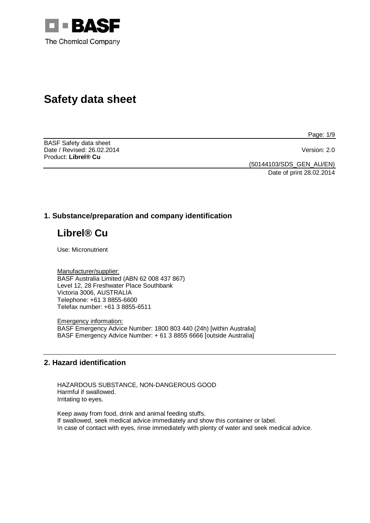

# **Safety data sheet**

BASF Safety data sheet Date / Revised: 26.02.2014 Version: 2.0 Product: **Librel® Cu** 

Page: 1/9

(50144103/SDS\_GEN\_AU/EN)

Date of print 28.02.2014

# **1. Substance/preparation and company identification**

# **Librel® Cu**

Use: Micronutrient

Manufacturer/supplier: BASF Australia Limited (ABN 62 008 437 867) Level 12, 28 Freshwater Place Southbank Victoria 3006, AUSTRALIA Telephone: +61 3 8855-6600 Telefax number: +61 3 8855-6511

Emergency information: BASF Emergency Advice Number: 1800 803 440 (24h) [within Australia] BASF Emergency Advice Number: + 61 3 8855 6666 [outside Australia]

# **2. Hazard identification**

HAZARDOUS SUBSTANCE, NON-DANGEROUS GOOD Harmful if swallowed. Irritating to eyes.

Keep away from food, drink and animal feeding stuffs. If swallowed, seek medical advice immediately and show this container or label. In case of contact with eyes, rinse immediately with plenty of water and seek medical advice.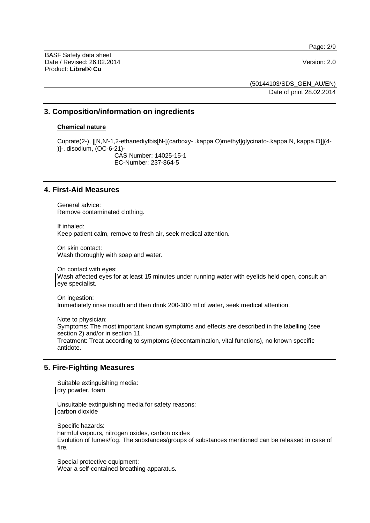Page: 2/9

BASF Safety data sheet Date / Revised: 26.02.2014 Version: 2.0 Product: **Librel® Cu**

(50144103/SDS\_GEN\_AU/EN)

Date of print 28.02.2014

# **3. Composition/information on ingredients**

#### **Chemical nature**

Cuprate(2-), [[N,N'-1,2-ethanediylbis[N-[(carboxy- .kappa.O)methyl]glycinato-.kappa.N,.kappa.O]](4- )]-, disodium, (OC-6-21)- CAS Number: 14025-15-1 EC-Number: 237-864-5

# **4. First-Aid Measures**

General advice: Remove contaminated clothing.

If inhaled: Keep patient calm, remove to fresh air, seek medical attention.

On skin contact: Wash thoroughly with soap and water.

On contact with eyes: Wash affected eyes for at least 15 minutes under running water with eyelids held open, consult an eye specialist.

On ingestion: Immediately rinse mouth and then drink 200-300 ml of water, seek medical attention.

Note to physician: Symptoms: The most important known symptoms and effects are described in the labelling (see section 2) and/or in section 11. Treatment: Treat according to symptoms (decontamination, vital functions), no known specific antidote.

# **5. Fire-Fighting Measures**

Suitable extinguishing media: dry powder, foam

Unsuitable extinguishing media for safety reasons: carbon dioxide

Specific hazards: harmful vapours, nitrogen oxides, carbon oxides Evolution of fumes/fog. The substances/groups of substances mentioned can be released in case of fire.

Special protective equipment: Wear a self-contained breathing apparatus.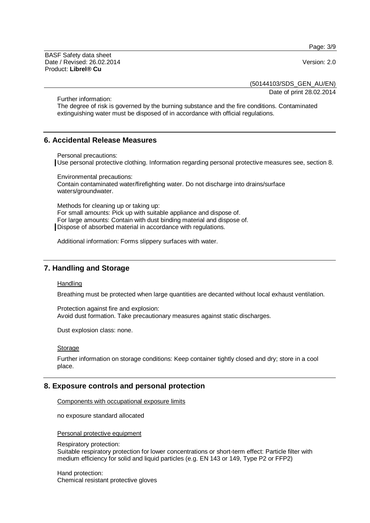Page: 3/9

BASF Safety data sheet Date / Revised: 26.02.2014 Version: 2.0 Product: **Librel® Cu**

(50144103/SDS\_GEN\_AU/EN)

Date of print 28.02.2014

Further information:

The degree of risk is governed by the burning substance and the fire conditions. Contaminated extinguishing water must be disposed of in accordance with official regulations.

# **6. Accidental Release Measures**

Personal precautions:

Use personal protective clothing. Information regarding personal protective measures see, section 8.

Environmental precautions: Contain contaminated water/firefighting water. Do not discharge into drains/surface waters/groundwater.

Methods for cleaning up or taking up: For small amounts: Pick up with suitable appliance and dispose of. For large amounts: Contain with dust binding material and dispose of. Dispose of absorbed material in accordance with regulations.

Additional information: Forms slippery surfaces with water.

# **7. Handling and Storage**

**Handling** 

Breathing must be protected when large quantities are decanted without local exhaust ventilation.

Protection against fire and explosion: Avoid dust formation. Take precautionary measures against static discharges.

Dust explosion class: none.

#### Storage

Further information on storage conditions: Keep container tightly closed and dry; store in a cool place.

# **8. Exposure controls and personal protection**

Components with occupational exposure limits

no exposure standard allocated

Personal protective equipment

Respiratory protection:

Suitable respiratory protection for lower concentrations or short-term effect: Particle filter with medium efficiency for solid and liquid particles (e.g. EN 143 or 149, Type P2 or FFP2)

Hand protection: Chemical resistant protective gloves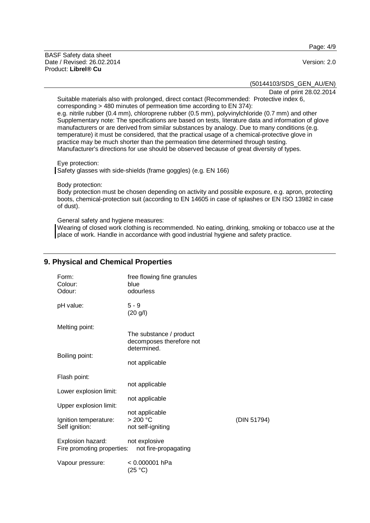BASF Safety data sheet Date / Revised: 26.02.2014 Version: 2.0 Product: **Librel® Cu**

#### Page: 4/9

(50144103/SDS\_GEN\_AU/EN)

Date of print 28.02.2014

Suitable materials also with prolonged, direct contact (Recommended: Protective index 6, corresponding > 480 minutes of permeation time according to EN 374): e.g. nitrile rubber (0.4 mm), chloroprene rubber (0.5 mm), polyvinylchloride (0.7 mm) and other Supplementary note: The specifications are based on tests, literature data and information of glove manufacturers or are derived from similar substances by analogy. Due to many conditions (e.g. temperature) it must be considered, that the practical usage of a chemical-protective glove in practice may be much shorter than the permeation time determined through testing. Manufacturer's directions for use should be observed because of great diversity of types.

Eye protection:

Safety glasses with side-shields (frame goggles) (e.g. EN 166)

Body protection:

Body protection must be chosen depending on activity and possible exposure, e.g. apron, protecting boots, chemical-protection suit (according to EN 14605 in case of splashes or EN ISO 13982 in case of dust).

General safety and hygiene measures:

Wearing of closed work clothing is recommended. No eating, drinking, smoking or tobacco use at the place of work. Handle in accordance with good industrial hygiene and safety practice.

# **9. Physical and Chemical Properties**

| Form:<br>Colour:<br>Odour:                      | free flowing fine granules<br>blue<br>odourless     |             |
|-------------------------------------------------|-----------------------------------------------------|-------------|
| pH value:                                       | $5 - 9$<br>(20 g/l)                                 |             |
| Melting point:                                  | The substance / product<br>decomposes therefore not |             |
| Boiling point:                                  | determined.                                         |             |
|                                                 | not applicable                                      |             |
| Flash point:                                    |                                                     |             |
| Lower explosion limit:                          | not applicable                                      |             |
| Upper explosion limit:                          | not applicable                                      |             |
|                                                 | not applicable                                      |             |
| Ignition temperature:                           | > 200 °C                                            | (DIN 51794) |
| Self ignition:                                  | not self-igniting                                   |             |
| Explosion hazard:<br>Fire promoting properties: | not explosive<br>not fire-propagating               |             |
| Vapour pressure:                                | < 0.000001 hPa<br>(25 °C)                           |             |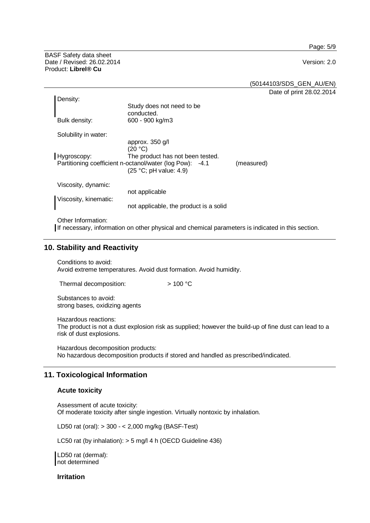Page: 5/9

BASF Safety data sheet Date / Revised: 26.02.2014 Version: 2.0 Product: **Librel® Cu**

(50144103/SDS\_GEN\_AU/EN)

Date of print 28.02.2014

| Density:              |                                                                                                                                                      |            |
|-----------------------|------------------------------------------------------------------------------------------------------------------------------------------------------|------------|
|                       | Study does not need to be<br>conducted.                                                                                                              |            |
| Bulk density:         | 600 - 900 kg/m3                                                                                                                                      |            |
| Solubility in water:  |                                                                                                                                                      |            |
| Hygroscopy:           | approx. 350 g/l<br>(20 °C)<br>The product has not been tested.<br>Partitioning coefficient n-octanol/water (log Pow): -4.1<br>(25 °C; pH value: 4.9) | (measured) |
| Viscosity, dynamic:   |                                                                                                                                                      |            |
| Viscosity, kinematic: | not applicable                                                                                                                                       |            |
|                       | not applicable, the product is a solid                                                                                                               |            |
| Other Information:    |                                                                                                                                                      |            |

If necessary, information on other physical and chemical parameters is indicated in this section.

# **10. Stability and Reactivity**

Conditions to avoid: Avoid extreme temperatures. Avoid dust formation. Avoid humidity.

Thermal decomposition:  $> 100 °C$ 

Substances to avoid: strong bases, oxidizing agents

Hazardous reactions: The product is not a dust explosion risk as supplied; however the build-up of fine dust can lead to a risk of dust explosions.

Hazardous decomposition products: No hazardous decomposition products if stored and handled as prescribed/indicated.

# **11. Toxicological Information**

## **Acute toxicity**

Assessment of acute toxicity: Of moderate toxicity after single ingestion. Virtually nontoxic by inhalation.

LD50 rat (oral): > 300 - < 2,000 mg/kg (BASF-Test)

LC50 rat (by inhalation): > 5 mg/l 4 h (OECD Guideline 436)

LD50 rat (dermal): not determined

**Irritation**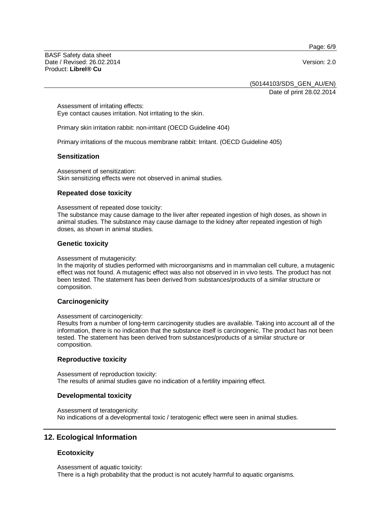Page: 6/9

BASF Safety data sheet Date / Revised: 26.02.2014 Version: 2.0 Product: **Librel® Cu**

(50144103/SDS\_GEN\_AU/EN)

Date of print 28.02.2014

Assessment of irritating effects: Eye contact causes irritation. Not irritating to the skin.

Primary skin irritation rabbit: non-irritant (OECD Guideline 404)

Primary irritations of the mucous membrane rabbit: Irritant. (OECD Guideline 405)

#### **Sensitization**

Assessment of sensitization: Skin sensitizing effects were not observed in animal studies.

### **Repeated dose toxicity**

Assessment of repeated dose toxicity:

The substance may cause damage to the liver after repeated ingestion of high doses, as shown in animal studies. The substance may cause damage to the kidney after repeated ingestion of high doses, as shown in animal studies.

#### **Genetic toxicity**

Assessment of mutagenicity:

In the majority of studies performed with microorganisms and in mammalian cell culture, a mutagenic effect was not found. A mutagenic effect was also not observed in in vivo tests. The product has not been tested. The statement has been derived from substances/products of a similar structure or composition.

#### **Carcinogenicity**

Assessment of carcinogenicity:

Results from a number of long-term carcinogenity studies are available. Taking into account all of the information, there is no indication that the substance itself is carcinogenic. The product has not been tested. The statement has been derived from substances/products of a similar structure or composition.

#### **Reproductive toxicity**

Assessment of reproduction toxicity: The results of animal studies gave no indication of a fertility impairing effect.

#### **Developmental toxicity**

Assessment of teratogenicity: No indications of a developmental toxic / teratogenic effect were seen in animal studies.

# **12. Ecological Information**

#### **Ecotoxicity**

Assessment of aquatic toxicity: There is a high probability that the product is not acutely harmful to aquatic organisms.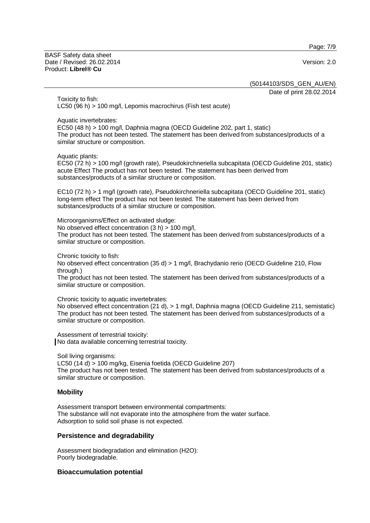Page: 7/9

BASF Safety data sheet Date / Revised: 26.02.2014 Version: 2.0 Product: **Librel® Cu**

(50144103/SDS\_GEN\_AU/EN)

Date of print 28.02.2014

Toxicity to fish: LC50 (96 h) > 100 mg/l, Lepomis macrochirus (Fish test acute)

Aquatic invertebrates:

EC50 (48 h) > 100 mg/l, Daphnia magna (OECD Guideline 202, part 1, static) The product has not been tested. The statement has been derived from substances/products of a similar structure or composition.

Aquatic plants:

EC50 (72 h) > 100 mg/l (growth rate), Pseudokirchneriella subcapitata (OECD Guideline 201, static) acute Effect The product has not been tested. The statement has been derived from substances/products of a similar structure or composition.

EC10 (72 h) > 1 mg/l (growth rate), Pseudokirchneriella subcapitata (OECD Guideline 201, static) long-term effect The product has not been tested. The statement has been derived from substances/products of a similar structure or composition.

Microorganisms/Effect on activated sludge:

No observed effect concentration (3 h) > 100 mg/l,

The product has not been tested. The statement has been derived from substances/products of a similar structure or composition.

Chronic toxicity to fish:

No observed effect concentration (35 d) > 1 mg/l, Brachydanio rerio (OECD Guideline 210, Flow through.)

The product has not been tested. The statement has been derived from substances/products of a similar structure or composition.

Chronic toxicity to aquatic invertebrates:

No observed effect concentration (21 d), > 1 mg/l, Daphnia magna (OECD Guideline 211, semistatic) The product has not been tested. The statement has been derived from substances/products of a similar structure or composition.

Assessment of terrestrial toxicity: No data available concerning terrestrial toxicity.

Soil living organisms:

LC50 (14 d) > 100 mg/kg, Eisenia foetida (OECD Guideline 207) The product has not been tested. The statement has been derived from substances/products of a similar structure or composition.

#### **Mobility**

Assessment transport between environmental compartments: The substance will not evaporate into the atmosphere from the water surface. Adsorption to solid soil phase is not expected.

#### **Persistence and degradability**

Assessment biodegradation and elimination (H2O): Poorly biodegradable.

#### **Bioaccumulation potential**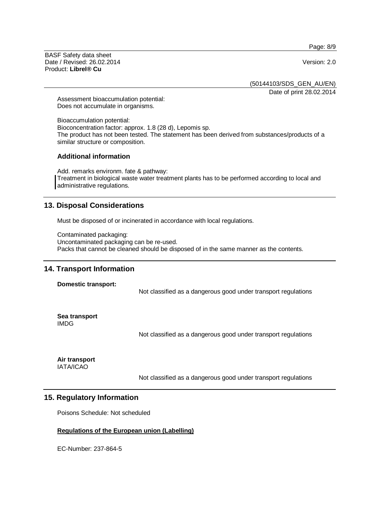Page: 8/9

BASF Safety data sheet Date / Revised: 26.02.2014 Version: 2.0 Product: **Librel® Cu**

(50144103/SDS\_GEN\_AU/EN)

Date of print 28.02.2014

Assessment bioaccumulation potential: Does not accumulate in organisms.

Bioaccumulation potential: Bioconcentration factor: approx. 1.8 (28 d), Lepomis sp. The product has not been tested. The statement has been derived from substances/products of a similar structure or composition.

### **Additional information**

Add. remarks environm. fate & pathway: Treatment in biological waste water treatment plants has to be performed according to local and administrative regulations.

# **13. Disposal Considerations**

Must be disposed of or incinerated in accordance with local regulations.

Contaminated packaging: Uncontaminated packaging can be re-used. Packs that cannot be cleaned should be disposed of in the same manner as the contents.

# **14. Transport Information**

**Domestic transport:** 

Not classified as a dangerous good under transport regulations

**Sea transport**  IMDG

Not classified as a dangerous good under transport regulations

**Air transport**  IATA/ICAO

Not classified as a dangerous good under transport regulations

# **15. Regulatory Information**

Poisons Schedule: Not scheduled

#### **Regulations of the European union (Labelling)**

EC-Number: 237-864-5